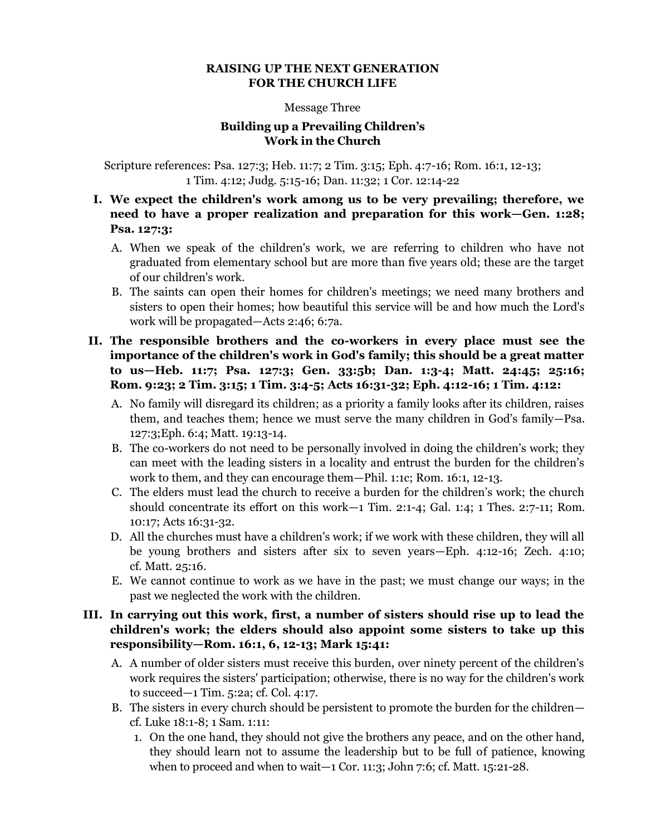#### **RAISING UP THE NEXT GENERATION FOR THE CHURCH LIFE**

#### Message Three

# **Building up a Prevailing Children's Work in the Church**

Scripture references: Psa. 127:3; Heb. 11:7; 2 Tim. 3:15; Eph. 4:7-16; Rom. 16:1, 12-13; 1 Tim. 4:12; Judg. 5:15-16; Dan. 11:32; 1 Cor. 12:14-22

### **I. We expect the children's work among us to be very prevailing; therefore, we need to have a proper realization and preparation for this work—Gen. 1:28; Psa. 127:3:**

- A. When we speak of the children's work, we are referring to children who have not graduated from elementary school but are more than five years old; these are the target of our children's work.
- B. The saints can open their homes for children's meetings; we need many brothers and sisters to open their homes; how beautiful this service will be and how much the Lord's work will be propagated—Acts 2:46; 6:7a.

## **II. The responsible brothers and the co-workers in every place must see the importance of the children's work in God's family; this should be a great matter to us—Heb. 11:7; Psa. 127:3; Gen. 33:5b; Dan. 1:3-4; Matt. 24:45; 25:16; Rom. 9:23; 2 Tim. 3:15; 1 Tim. 3:4-5; Acts 16:31-32; Eph. 4:12-16; 1 Tim. 4:12:**

- A. No family will disregard its children; as a priority a family looks after its children, raises them, and teaches them; hence we must serve the many children in God's family—Psa. 127:3;Eph. 6:4; Matt. 19:13-14.
- B. The co-workers do not need to be personally involved in doing the children's work; they can meet with the leading sisters in a locality and entrust the burden for the children's work to them, and they can encourage them—Phil. 1:1c; Rom. 16:1, 12-13.
- C. The elders must lead the church to receive a burden for the children's work; the church should concentrate its effort on this work—1 Tim. 2:1-4; Gal. 1:4; 1 Thes. 2:7-11; Rom. 10:17; Acts 16:31-32.
- D. All the churches must have a children's work; if we work with these children, they will all be young brothers and sisters after six to seven years—Eph. 4:12-16; Zech. 4:10; cf. Matt. 25:16.
- E. We cannot continue to work as we have in the past; we must change our ways; in the past we neglected the work with the children.

### **III. In carrying out this work, first, a number of sisters should rise up to lead the children's work; the elders should also appoint some sisters to take up this responsibility—Rom. 16:1, 6, 12-13; Mark 15:41:**

- A. A number of older sisters must receive this burden, over ninety percent of the children's work requires the sisters' participation; otherwise, there is no way for the children's work to succeed—1 Tim. 5:2a; cf. Col. 4:17.
- B. The sisters in every church should be persistent to promote the burden for the children cf. Luke 18:1-8; 1 Sam. 1:11:
	- 1. On the one hand, they should not give the brothers any peace, and on the other hand, they should learn not to assume the leadership but to be full of patience, knowing when to proceed and when to wait—1 Cor. 11:3; John 7:6; cf. Matt. 15:21-28.